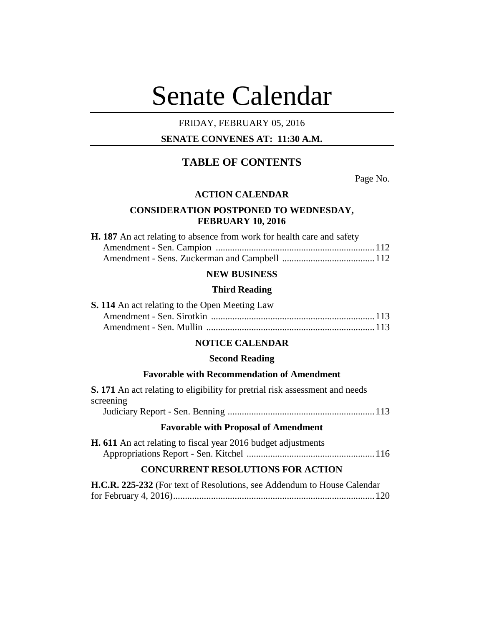# Senate Calendar

## FRIDAY, FEBRUARY 05, 2016

## **SENATE CONVENES AT: 11:30 A.M.**

# **TABLE OF CONTENTS**

Page No.

## **ACTION CALENDAR**

## **CONSIDERATION POSTPONED TO WEDNESDAY, FEBRUARY 10, 2016**

| <b>H. 187</b> An act relating to absence from work for health care and safety |  |
|-------------------------------------------------------------------------------|--|
|                                                                               |  |
|                                                                               |  |

## **NEW BUSINESS**

#### **Third Reading**

| <b>S. 114</b> An act relating to the Open Meeting Law |  |
|-------------------------------------------------------|--|
|                                                       |  |
|                                                       |  |

## **NOTICE CALENDAR**

## **Second Reading**

#### **Favorable with Recommendation of Amendment**

| <b>S.</b> 171 An act relating to eligibility for pretrial risk assessment and needs |  |  |
|-------------------------------------------------------------------------------------|--|--|
| screening                                                                           |  |  |
|                                                                                     |  |  |
| <b>Favorable with Proposal of Amendment</b>                                         |  |  |
| <b>H. 611</b> An act relating to fiscal year 2016 budget adjustments                |  |  |

Appropriations Report - Sen. Kitchel ......................................................116

## **CONCURRENT RESOLUTIONS FOR ACTION**

| H.C.R. 225-232 (For text of Resolutions, see Addendum to House Calendar |  |
|-------------------------------------------------------------------------|--|
|                                                                         |  |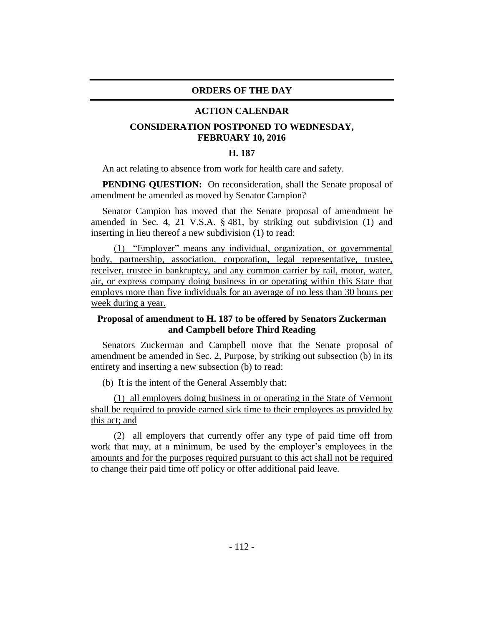#### **ORDERS OF THE DAY**

#### **ACTION CALENDAR**

## **CONSIDERATION POSTPONED TO WEDNESDAY, FEBRUARY 10, 2016**

### **H. 187**

An act relating to absence from work for health care and safety.

**PENDING QUESTION:** On reconsideration, shall the Senate proposal of amendment be amended as moved by Senator Campion?

Senator Campion has moved that the Senate proposal of amendment be amended in Sec. 4, 21 V.S.A. § 481, by striking out subdivision (1) and inserting in lieu thereof a new subdivision (1) to read:

(1) "Employer" means any individual, organization, or governmental body, partnership, association, corporation, legal representative, trustee, receiver, trustee in bankruptcy, and any common carrier by rail, motor, water, air, or express company doing business in or operating within this State that employs more than five individuals for an average of no less than 30 hours per week during a year.

## **Proposal of amendment to H. 187 to be offered by Senators Zuckerman and Campbell before Third Reading**

Senators Zuckerman and Campbell move that the Senate proposal of amendment be amended in Sec. 2, Purpose, by striking out subsection (b) in its entirety and inserting a new subsection (b) to read:

(b) It is the intent of the General Assembly that:

(1) all employers doing business in or operating in the State of Vermont shall be required to provide earned sick time to their employees as provided by this act; and

(2) all employers that currently offer any type of paid time off from work that may, at a minimum, be used by the employer's employees in the amounts and for the purposes required pursuant to this act shall not be required to change their paid time off policy or offer additional paid leave.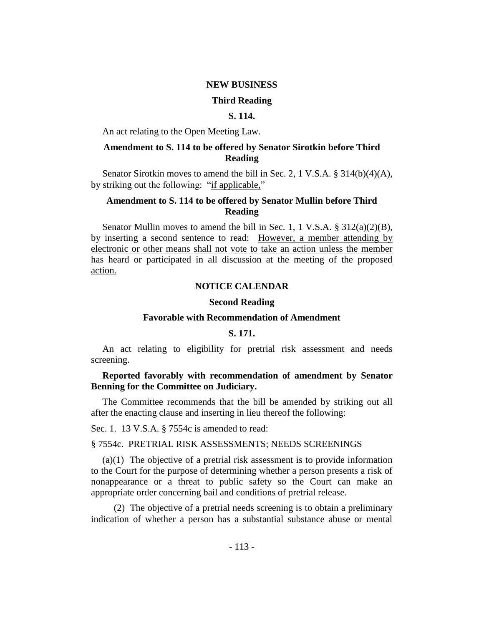#### **NEW BUSINESS**

#### **Third Reading**

## **S. 114.**

An act relating to the Open Meeting Law.

## **Amendment to S. 114 to be offered by Senator Sirotkin before Third Reading**

Senator Sirotkin moves to amend the bill in Sec. 2, 1 V.S.A. § 314(b)(4)(A), by striking out the following: "if applicable,"

## **Amendment to S. 114 to be offered by Senator Mullin before Third Reading**

Senator Mullin moves to amend the bill in Sec. 1, 1 V.S.A. § 312(a)(2)(B), by inserting a second sentence to read: However, a member attending by electronic or other means shall not vote to take an action unless the member has heard or participated in all discussion at the meeting of the proposed action.

### **NOTICE CALENDAR**

#### **Second Reading**

#### **Favorable with Recommendation of Amendment**

#### **S. 171.**

An act relating to eligibility for pretrial risk assessment and needs screening.

## **Reported favorably with recommendation of amendment by Senator Benning for the Committee on Judiciary.**

The Committee recommends that the bill be amended by striking out all after the enacting clause and inserting in lieu thereof the following:

Sec. 1. 13 V.S.A. § 7554c is amended to read:

#### § 7554c. PRETRIAL RISK ASSESSMENTS; NEEDS SCREENINGS

(a)(1) The objective of a pretrial risk assessment is to provide information to the Court for the purpose of determining whether a person presents a risk of nonappearance or a threat to public safety so the Court can make an appropriate order concerning bail and conditions of pretrial release.

(2) The objective of a pretrial needs screening is to obtain a preliminary indication of whether a person has a substantial substance abuse or mental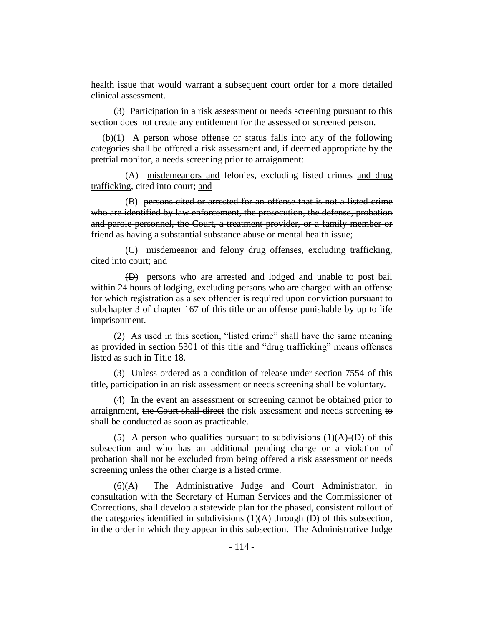health issue that would warrant a subsequent court order for a more detailed clinical assessment.

(3) Participation in a risk assessment or needs screening pursuant to this section does not create any entitlement for the assessed or screened person.

(b)(1) A person whose offense or status falls into any of the following categories shall be offered a risk assessment and, if deemed appropriate by the pretrial monitor, a needs screening prior to arraignment:

(A) misdemeanors and felonies, excluding listed crimes and drug trafficking, cited into court; and

(B) persons cited or arrested for an offense that is not a listed crime who are identified by law enforcement, the prosecution, the defense, probation and parole personnel, the Court, a treatment provider, or a family member or friend as having a substantial substance abuse or mental health issue;

(C) misdemeanor and felony drug offenses, excluding trafficking, cited into court; and

(D) persons who are arrested and lodged and unable to post bail within 24 hours of lodging, excluding persons who are charged with an offense for which registration as a sex offender is required upon conviction pursuant to subchapter 3 of chapter 167 of this title or an offense punishable by up to life imprisonment.

(2) As used in this section, "listed crime" shall have the same meaning as provided in section 5301 of this title and "drug trafficking" means offenses listed as such in Title 18.

(3) Unless ordered as a condition of release under section 7554 of this title, participation in an risk assessment or needs screening shall be voluntary.

(4) In the event an assessment or screening cannot be obtained prior to arraignment, the Court shall direct the risk assessment and needs screening to shall be conducted as soon as practicable.

(5) A person who qualifies pursuant to subdivisions  $(1)(A)-D$  of this subsection and who has an additional pending charge or a violation of probation shall not be excluded from being offered a risk assessment or needs screening unless the other charge is a listed crime.

(6)(A) The Administrative Judge and Court Administrator, in consultation with the Secretary of Human Services and the Commissioner of Corrections, shall develop a statewide plan for the phased, consistent rollout of the categories identified in subdivisions (1)(A) through (D) of this subsection, in the order in which they appear in this subsection. The Administrative Judge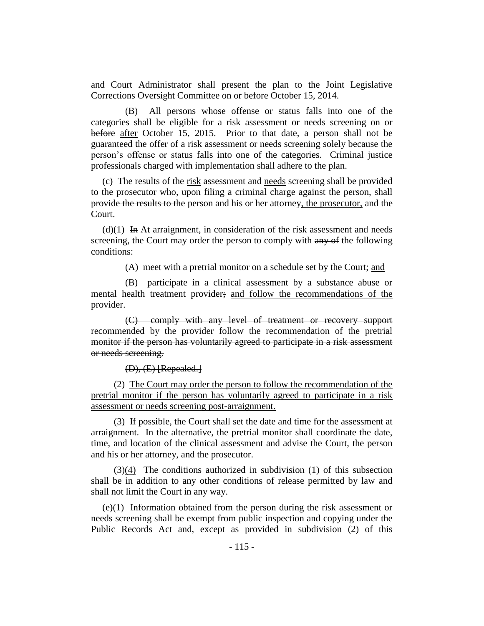and Court Administrator shall present the plan to the Joint Legislative Corrections Oversight Committee on or before October 15, 2014.

(B) All persons whose offense or status falls into one of the categories shall be eligible for a risk assessment or needs screening on or before after October 15, 2015. Prior to that date, a person shall not be guaranteed the offer of a risk assessment or needs screening solely because the person's offense or status falls into one of the categories. Criminal justice professionals charged with implementation shall adhere to the plan.

(c) The results of the risk assessment and needs screening shall be provided to the prosecutor who, upon filing a criminal charge against the person, shall provide the results to the person and his or her attorney, the prosecutor, and the Court.

(d) $(1)$  In At arraignment, in consideration of the risk assessment and needs screening, the Court may order the person to comply with any of the following conditions:

(A) meet with a pretrial monitor on a schedule set by the Court; and

(B) participate in a clinical assessment by a substance abuse or mental health treatment provider; and follow the recommendations of the provider.

(C) comply with any level of treatment or recovery support recommended by the provider follow the recommendation of the pretrial monitor if the person has voluntarily agreed to participate in a risk assessment or needs screening.

 $(D), (E)$  [Repealed.]

(2) The Court may order the person to follow the recommendation of the pretrial monitor if the person has voluntarily agreed to participate in a risk assessment or needs screening post-arraignment.

(3) If possible, the Court shall set the date and time for the assessment at arraignment. In the alternative, the pretrial monitor shall coordinate the date, time, and location of the clinical assessment and advise the Court, the person and his or her attorney, and the prosecutor.

 $(3)(4)$  The conditions authorized in subdivision (1) of this subsection shall be in addition to any other conditions of release permitted by law and shall not limit the Court in any way.

(e)(1) Information obtained from the person during the risk assessment or needs screening shall be exempt from public inspection and copying under the Public Records Act and, except as provided in subdivision (2) of this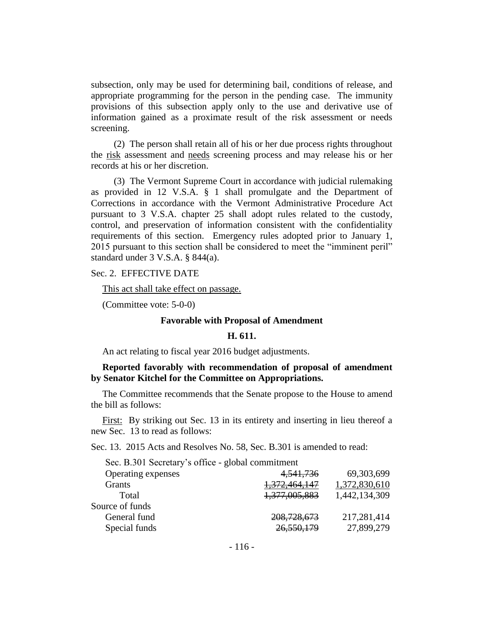subsection, only may be used for determining bail, conditions of release, and appropriate programming for the person in the pending case. The immunity provisions of this subsection apply only to the use and derivative use of information gained as a proximate result of the risk assessment or needs screening.

(2) The person shall retain all of his or her due process rights throughout the risk assessment and needs screening process and may release his or her records at his or her discretion.

(3) The Vermont Supreme Court in accordance with judicial rulemaking as provided in 12 V.S.A. § 1 shall promulgate and the Department of Corrections in accordance with the Vermont Administrative Procedure Act pursuant to 3 V.S.A. chapter 25 shall adopt rules related to the custody, control, and preservation of information consistent with the confidentiality requirements of this section. Emergency rules adopted prior to January 1, 2015 pursuant to this section shall be considered to meet the "imminent peril" standard under 3 V.S.A. § 844(a).

#### Sec. 2. EFFECTIVE DATE

This act shall take effect on passage.

(Committee vote: 5-0-0)

#### **Favorable with Proposal of Amendment**

#### **H. 611.**

An act relating to fiscal year 2016 budget adjustments.

## **Reported favorably with recommendation of proposal of amendment by Senator Kitchel for the Committee on Appropriations.**

The Committee recommends that the Senate propose to the House to amend the bill as follows:

First: By striking out Sec. 13 in its entirety and inserting in lieu thereof a new Sec. 13 to read as follows:

Sec. 13. 2015 Acts and Resolves No. 58, Sec. B.301 is amended to read:

| Sec. B.301 Secretary's office - global commitment |               |
|---------------------------------------------------|---------------|
| 4, 541, 736                                       | 69,303,699    |
| 1,372,464,147                                     | 1,372,830,610 |
| 1,377,005,883                                     | 1,442,134,309 |
|                                                   |               |
| 208,728,673                                       | 217,281,414   |
| 26,550,179                                        | 27,899,279    |
|                                                   |               |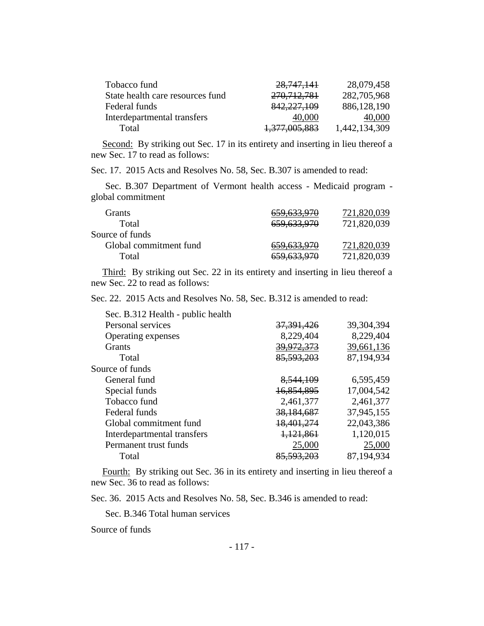| Tobacco fund                     | 28,747,141    | 28,079,458    |
|----------------------------------|---------------|---------------|
| State health care resources fund | 270, 712, 781 | 282,705,968   |
| Federal funds                    | 842,227,109   | 886,128,190   |
| Interdepartmental transfers      | 40,000        | 40,000        |
| Total                            | 1,377,005,883 | 1,442,134,309 |

Second: By striking out Sec. 17 in its entirety and inserting in lieu thereof a new Sec. 17 to read as follows:

Sec. 17. 2015 Acts and Resolves No. 58, Sec. B.307 is amended to read:

Sec. B.307 Department of Vermont health access - Medicaid program global commitment

| Grants                 | <del>659,633,970</del> | 721,820,039 |
|------------------------|------------------------|-------------|
| Total                  | 659,633,970            | 721,820,039 |
| Source of funds        |                        |             |
| Global commitment fund | <del>659,633,970</del> | 721,820,039 |
| Total                  | 659,633,970            | 721,820,039 |
|                        |                        |             |

Third: By striking out Sec. 22 in its entirety and inserting in lieu thereof a new Sec. 22 to read as follows:

Sec. 22. 2015 Acts and Resolves No. 58, Sec. B.312 is amended to read:

| Sec. B.312 Health - public health |                       |              |
|-----------------------------------|-----------------------|--------------|
| Personal services                 | <del>37,391,426</del> | 39, 304, 394 |
| Operating expenses                | 8,229,404             | 8,229,404    |
| <b>Grants</b>                     | 39,972,373            | 39,661,136   |
| Total                             | 85,593,203            | 87,194,934   |
| Source of funds                   |                       |              |
| General fund                      | 8,544,109             | 6,595,459    |
| Special funds                     | 16,854,895            | 17,004,542   |
| Tobacco fund                      | 2,461,377             | 2,461,377    |
| Federal funds                     | 38,184,687            | 37,945,155   |
| Global commitment fund            | 18,401,274            | 22,043,386   |
| Interdepartmental transfers       | 1,121,861             | 1,120,015    |
| Permanent trust funds             | 25,000                | 25,000       |
| Total                             | <del>85,593,203</del> | 87,194,934   |
|                                   |                       |              |

Fourth: By striking out Sec. 36 in its entirety and inserting in lieu thereof a new Sec. 36 to read as follows:

Sec. 36. 2015 Acts and Resolves No. 58, Sec. B.346 is amended to read:

Sec. B.346 Total human services

Source of funds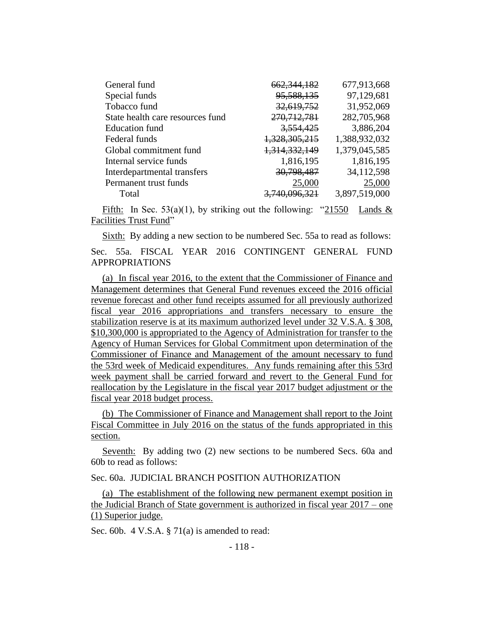| General fund                     | 662, 344, 182 | 677,913,668   |
|----------------------------------|---------------|---------------|
| Special funds                    | 95, 588, 135  | 97,129,681    |
| Tobacco fund                     | 32,619,752    | 31,952,069    |
| State health care resources fund | 270, 712, 781 | 282,705,968   |
| <b>Education fund</b>            | 3,554,425     | 3,886,204     |
| Federal funds                    | 1,328,305,215 | 1,388,932,032 |
| Global commitment fund           | 1,314,332,149 | 1,379,045,585 |
| Internal service funds           | 1,816,195     | 1,816,195     |
| Interdepartmental transfers      | 30,798,487    | 34,112,598    |
| Permanent trust funds            | 25,000        | 25,000        |
| Total                            | 740 096 321   | 3,897,519,000 |
|                                  |               |               |

Fifth: In Sec.  $53(a)(1)$ , by striking out the following: "21550 Lands & Facilities Trust Fund"

Sixth: By adding a new section to be numbered Sec. 55a to read as follows:

Sec. 55a. FISCAL YEAR 2016 CONTINGENT GENERAL FUND APPROPRIATIONS

(a) In fiscal year 2016, to the extent that the Commissioner of Finance and Management determines that General Fund revenues exceed the 2016 official revenue forecast and other fund receipts assumed for all previously authorized fiscal year 2016 appropriations and transfers necessary to ensure the stabilization reserve is at its maximum authorized level under 32 V.S.A. § 308, \$10,300,000 is appropriated to the Agency of Administration for transfer to the Agency of Human Services for Global Commitment upon determination of the Commissioner of Finance and Management of the amount necessary to fund the 53rd week of Medicaid expenditures. Any funds remaining after this 53rd week payment shall be carried forward and revert to the General Fund for reallocation by the Legislature in the fiscal year 2017 budget adjustment or the fiscal year 2018 budget process.

(b) The Commissioner of Finance and Management shall report to the Joint Fiscal Committee in July 2016 on the status of the funds appropriated in this section.

Seventh: By adding two (2) new sections to be numbered Secs. 60a and 60b to read as follows:

#### Sec. 60a. JUDICIAL BRANCH POSITION AUTHORIZATION

(a) The establishment of the following new permanent exempt position in the Judicial Branch of State government is authorized in fiscal year 2017 – one (1) Superior judge.

Sec. 60b. 4 V.S.A. § 71(a) is amended to read: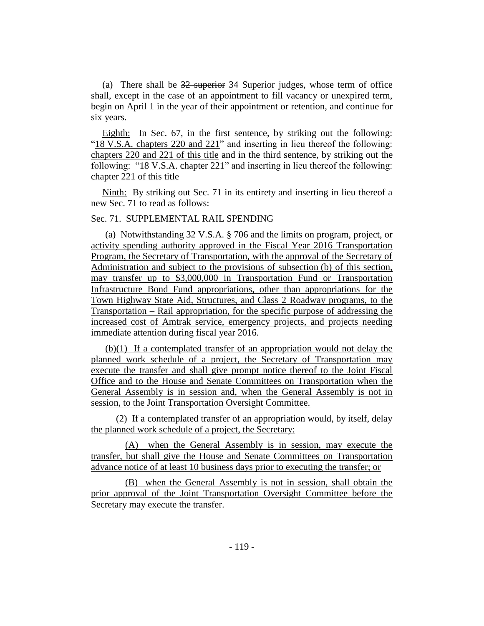(a) There shall be 32 superior 34 Superior judges, whose term of office shall, except in the case of an appointment to fill vacancy or unexpired term, begin on April 1 in the year of their appointment or retention, and continue for six years.

Eighth: In Sec. 67, in the first sentence, by striking out the following: "18 V.S.A. chapters 220 and 221" and inserting in lieu thereof the following: chapters 220 and 221 of this title and in the third sentence, by striking out the following: "18 V.S.A. chapter 221" and inserting in lieu thereof the following: chapter 221 of this title

Ninth: By striking out Sec. 71 in its entirety and inserting in lieu thereof a new Sec. 71 to read as follows:

## Sec. 71. SUPPLEMENTAL RAIL SPENDING

(a) Notwithstanding 32 V.S.A. § 706 and the limits on program, project, or activity spending authority approved in the Fiscal Year 2016 Transportation Program, the Secretary of Transportation, with the approval of the Secretary of Administration and subject to the provisions of subsection (b) of this section, may transfer up to \$3,000,000 in Transportation Fund or Transportation Infrastructure Bond Fund appropriations, other than appropriations for the Town Highway State Aid, Structures, and Class 2 Roadway programs, to the Transportation – Rail appropriation, for the specific purpose of addressing the increased cost of Amtrak service, emergency projects, and projects needing immediate attention during fiscal year 2016.

(b)(1) If a contemplated transfer of an appropriation would not delay the planned work schedule of a project, the Secretary of Transportation may execute the transfer and shall give prompt notice thereof to the Joint Fiscal Office and to the House and Senate Committees on Transportation when the General Assembly is in session and, when the General Assembly is not in session, to the Joint Transportation Oversight Committee.

(2) If a contemplated transfer of an appropriation would, by itself, delay the planned work schedule of a project, the Secretary:

(A) when the General Assembly is in session, may execute the transfer, but shall give the House and Senate Committees on Transportation advance notice of at least 10 business days prior to executing the transfer; or

(B) when the General Assembly is not in session, shall obtain the prior approval of the Joint Transportation Oversight Committee before the Secretary may execute the transfer.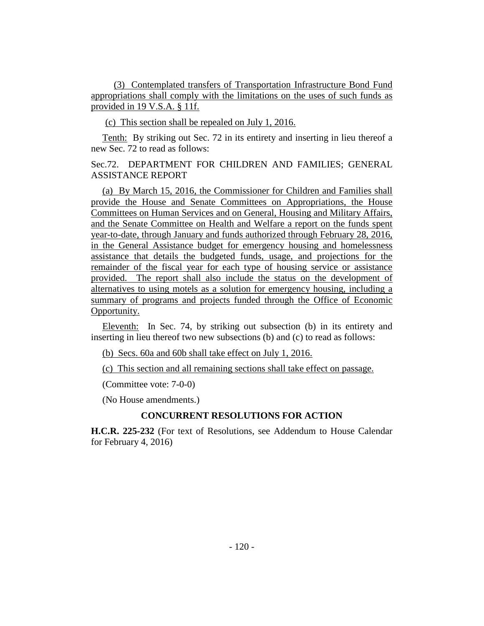(3) Contemplated transfers of Transportation Infrastructure Bond Fund appropriations shall comply with the limitations on the uses of such funds as provided in 19 V.S.A. § 11f.

(c) This section shall be repealed on July 1, 2016.

Tenth: By striking out Sec. 72 in its entirety and inserting in lieu thereof a new Sec. 72 to read as follows:

Sec.72. DEPARTMENT FOR CHILDREN AND FAMILIES; GENERAL ASSISTANCE REPORT

(a) By March 15, 2016, the Commissioner for Children and Families shall provide the House and Senate Committees on Appropriations, the House Committees on Human Services and on General, Housing and Military Affairs, and the Senate Committee on Health and Welfare a report on the funds spent year-to-date, through January and funds authorized through February 28, 2016, in the General Assistance budget for emergency housing and homelessness assistance that details the budgeted funds, usage, and projections for the remainder of the fiscal year for each type of housing service or assistance provided. The report shall also include the status on the development of alternatives to using motels as a solution for emergency housing, including a summary of programs and projects funded through the Office of Economic Opportunity.

Eleventh: In Sec. 74, by striking out subsection (b) in its entirety and inserting in lieu thereof two new subsections (b) and (c) to read as follows:

(b) Secs. 60a and 60b shall take effect on July 1, 2016.

(c) This section and all remaining sections shall take effect on passage.

(Committee vote: 7-0-0)

(No House amendments.)

## **CONCURRENT RESOLUTIONS FOR ACTION**

**H.C.R. 225-232** (For text of Resolutions, see Addendum to House Calendar for February 4, 2016)